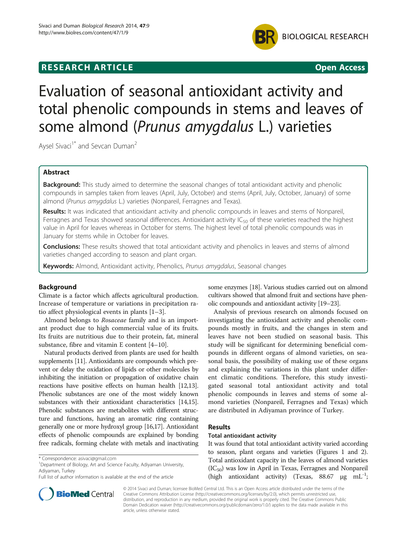## **RESEARCH ARTICLE Example 2014 CONSIDERING CONSIDERING CONSIDERING CONSIDERING CONSIDERING CONSIDERING CONSIDERING CONSIDERING CONSIDERING CONSIDERING CONSIDERING CONSIDERING CONSIDERING CONSIDERING CONSIDERING CONSIDE**



# Evaluation of seasonal antioxidant activity and total phenolic compounds in stems and leaves of some almond (Prunus amygdalus L.) varieties

Aysel Sivaci<sup>1\*</sup> and Sevcan Duman<sup>2</sup>

## Abstract

Background: This study aimed to determine the seasonal changes of total antioxidant activity and phenolic compounds in samples taken from leaves (April, July, October) and stems (April, July, October, January) of some almond (Prunus amygdalus L.) varieties (Nonpareil, Ferragnes and Texas).

Results: It was indicated that antioxidant activity and phenolic compounds in leaves and stems of Nonpareil, Ferragnes and Texas showed seasonal differences. Antioxidant activity  $IC_{50}$  of these varieties reached the highest value in April for leaves whereas in October for stems. The highest level of total phenolic compounds was in January for stems while in October for leaves.

Conclusions: These results showed that total antioxidant activity and phenolics in leaves and stems of almond varieties changed according to season and plant organ.

Keywords: Almond, Antioxidant activity, Phenolics, Prunus amygdalus, Seasonal changes

## Background

Climate is a factor which affects agricultural production. Increase of temperature or variations in precipitation ratio affect physiological events in plants [[1](#page-4-0)–[3](#page-4-0)].

Almond belongs to Rosaceae family and is an important product due to high commercial value of its fruits. Its fruits are nutritious due to their protein, fat, mineral substance, fibre and vitamin E content [\[4](#page-4-0)–[10](#page-4-0)].

Natural products derived from plants are used for health supplements [\[11\]](#page-4-0). Antioxidants are compounds which prevent or delay the oxidation of lipids or other molecules by inhibiting the initiation or propagation of oxidative chain reactions have positive effects on human health [\[12,13](#page-4-0)]. Phenolic substances are one of the most widely known substances with their antioxidant characteristics [\[14,15](#page-4-0)]. Phenolic substances are metabolites with different structure and functions, having an aromatic ring containing generally one or more hydroxyl group [\[16,17](#page-4-0)]. Antioxidant effects of phenolic compounds are explained by bonding free radicals, forming chelate with metals and inactivating



Analysis of previous research on almonds focused on investigating the antioxidant activity and phenolic compounds mostly in fruits, and the changes in stem and leaves have not been studied on seasonal basis. This study will be significant for determining beneficial compounds in different organs of almond varieties, on seasonal basis, the possibility of making use of these organs and explaining the variations in this plant under different climatic conditions. Therefore, this study investigated seasonal total antioxidant activity and total phenolic compounds in leaves and stems of some almond varieties (Nonpareil, Ferragnes and Texas) which are distributed in Adiyaman province of Turkey.

#### Results

#### Total antioxidant activity

It was found that total antioxidant activity varied according to season, plant organs and varieties (Figures [1](#page-1-0) and [2](#page-1-0)). Total antioxidant capacity in the leaves of almond varieties  $(IC_{50})$  was low in April in Texas, Ferragnes and Nonpareil (high antioxidant activity) (Texas,  $88.67 \text{ }\mu\text{g mL}^{-1}$ ;



© 2014 Sivaci and Duman; licensee BioMed Central Ltd. This is an Open Access article distributed under the terms of the Creative Commons Attribution License (<http://creativecommons.org/licenses/by/2.0>), which permits unrestricted use, distribution, and reproduction in any medium, provided the original work is properly cited. The Creative Commons Public Domain Dedication waiver [\(http://creativecommons.org/publicdomain/zero/1.0/\)](http://creativecommons.org/publicdomain/zero/1.0/) applies to the data made available in this article, unless otherwise stated.

<sup>\*</sup> Correspondence: [asivaci@gmail.com](mailto:asivaci@gmail.com) <sup>1</sup>

<sup>&</sup>lt;sup>1</sup>Department of Biology, Art and Science Faculty, Adiyaman University, Adiyaman, Turkey

Full list of author information is available at the end of the article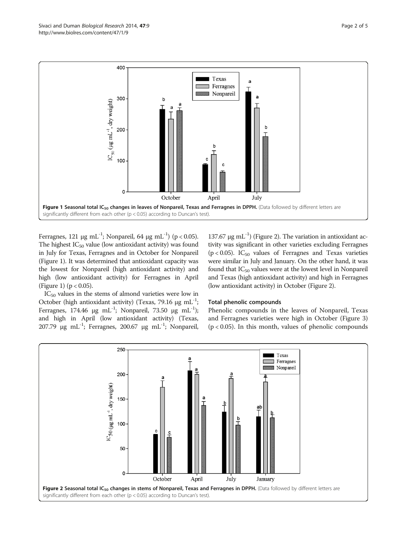<span id="page-1-0"></span>

Ferragnes, 121 μg mL<sup>-1</sup>; Nonpareil, 64 μg mL<sup>-1</sup>) (p < 0.05). The highest  $IC_{50}$  value (low antioxidant activity) was found in July for Texas, Ferragnes and in October for Nonpareil (Figure 1). It was determined that antioxidant capacity was the lowest for Nonpareil (high antioxidant activity) and high (low antioxidant activity) for Ferragnes in April (Figure 1) ( $p < 0.05$ ).

 $137.67$  μg mL<sup>-1</sup>) (Figure 2). The variation in antioxidant activity was significant in other varieties excluding Ferragnes ( $p$  < 0.05). IC<sub>50</sub> values of Ferragnes and Texas varieties were similar in July and January. On the other hand, it was found that  $IC_{50}$  values were at the lowest level in Nonpareil and Texas (high antioxidant activity) and high in Ferragnes (low antioxidant activity) in October (Figure 2).

 $IC_{50}$  values in the stems of almond varieties were low in October (high antioxidant activity) (Texas, 79.16 μg mL<sup>-1</sup>; Ferragnes, 174.46 μg mL<sup>-1</sup>; Nonpareil, 73.50 μg mL<sup>-1</sup>); and high in April (low antioxidant activity) (Texas, 207.79 μg mL<sup>-1</sup>; Ferragnes, 200.67 μg mL<sup>-1</sup>; Nonpareil,

#### Total phenolic compounds

Phenolic compounds in the leaves of Nonpareil, Texas and Ferragnes varieties were high in October (Figure [3](#page-2-0))  $(p < 0.05)$ . In this month, values of phenolic compounds

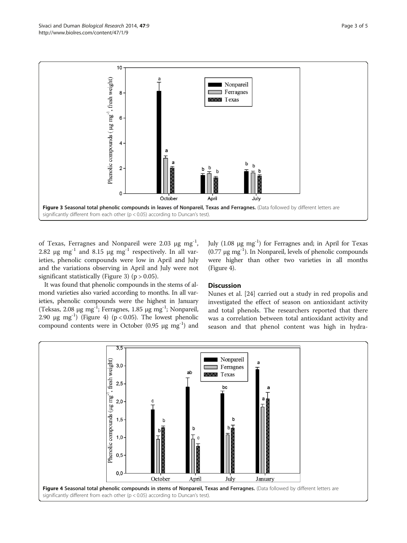<span id="page-2-0"></span>

of Texas, Ferragnes and Nonpareil were 2.03  $\mu$ g mg<sup>-1</sup>, 2.82 μg mg<sup>-1</sup> and 8.15 μg mg<sup>-1</sup> respectively. In all varieties, phenolic compounds were low in April and July and the variations observing in April and July were not significant statistically (Figure 3) ( $p > 0.05$ ).

July  $(1.08 \mu g \text{ mg}^{-1})$  for Ferragnes and; in April for Texas  $(0.77 \mu g mg^{-1})$ . In Nonpareil, levels of phenolic compounds were higher than other two varieties in all months (Figure 4).

It was found that phenolic compounds in the stems of almond varieties also varied according to months. In all varieties, phenolic compounds were the highest in January (Teksas, 2.08 μg mg<sup>-1</sup>; Ferragnes, 1.85 μg mg<sup>-1</sup>; Nonpareil, 2.90  $\mu$ g mg<sup>-1</sup>) (Figure 4) (p < 0.05). The lowest phenolic compound contents were in October  $(0.95 \mu g \text{ m}g^{-1})$  and

## **Discussion**

Nunes et al. [[24\]](#page-4-0) carried out a study in red propolis and investigated the effect of season on antioxidant activity and total phenols. The researchers reported that there was a correlation between total antioxidant activity and season and that phenol content was high in hydra-

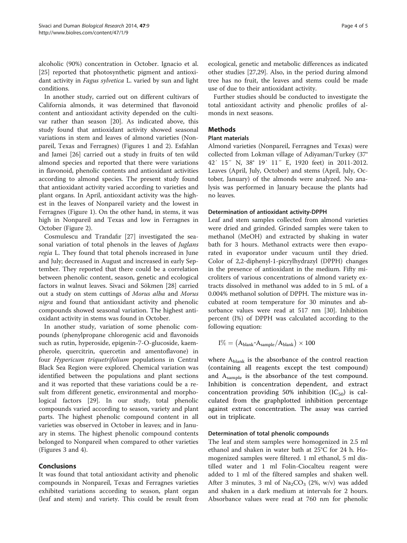alcoholic (90%) concentration in October. Ignacio et al. [[25\]](#page-4-0) reported that photosynthetic pigment and antioxidant activity in Fagus sylvetica L. varied by sun and light conditions.

In another study, carried out on different cultivars of California almonds, it was determined that flavonoid content and antioxidant activity depended on the cultivar rather than season [[20](#page-4-0)]. As indicated above, this study found that antioxidant activity showed seasonal variations in stem and leaves of almond varieties (Nonpareil, Texas and Ferragnes) (Figures [1](#page-1-0) and [2](#page-1-0)). Esfahlan and Jamei [\[26](#page-4-0)] carried out a study in fruits of ten wild almond species and reported that there were variations in flavonoid, phenolic contents and antioxidant activities according to almond species. The present study found that antioxidant activity varied according to varieties and plant organs. In April, antioxidant activity was the highest in the leaves of Nonpareil variety and the lowest in Ferragnes (Figure [1](#page-1-0)). On the other hand, in stems, it was high in Nonpareil and Texas and low in Ferragnes in October (Figure [2\)](#page-1-0).

Cosmulescu and Trandafır [[27\]](#page-4-0) investigated the seasonal variation of total phenols in the leaves of Juglans regia L. They found that total phenols increased in June and July; decreased in August and increased in early September. They reported that there could be a correlation between phenolic content, season, genetic and ecological factors in walnut leaves. Sivaci and Sökmen [[28](#page-4-0)] carried out a study on stem cuttings of Morus alba and Morus nigra and found that antioxidant activity and phenolic compounds showed seasonal variation. The highest antioxidant activity in stems was found in October.

In another study, variation of some phenolic compounds (phenylpropane chlorogenic acid and flavonoids such as rutin, hyperoside, epigenin-7-O-glucoside, kaempherole, quercitrin, quercetin and amentoflavone) in four Hypericum triquetrifolium populations in Central Black Sea Region were explored. Chemical variation was identified between the populations and plant sections and it was reported that these variations could be a result from different genetic, environmental and morphological factors [\[29\]](#page-4-0). In our study, total phenolic compounds varied according to season, variety and plant parts. The highest phenolic compound content in all varieties was observed in October in leaves; and in January in stems. The highest phenolic compound contents belonged to Nonpareil when compared to other varieties (Figures [3](#page-2-0) and [4](#page-2-0)).

## Conclusions

It was found that total antioxidant activity and phenolic compounds in Nonpareil, Texas and Ferragnes varieties exhibited variations according to season, plant organ (leaf and stem) and variety. This could be result from ecological, genetic and metabolic differences as indicated other studies [[27,29\]](#page-4-0). Also, in the period during almond tree has no fruit, the leaves and stems could be made use of due to their antioxidant activity.

Further studies should be conducted to investigate the total antioxidant activity and phenolic profiles of almonds in next seasons.

## **Methods**

## Plant materials

Almond varieties (Nonpareil, Ferragnes and Texas) were collected from Lokman village of Adiyaman/Turkey (37° 42′ 15″ N, 38° 19′ 11″ E, 1920 feet) in 2011-2012. Leaves (April, July, October) and stems (April, July, October, January) of the almonds were analyzed. No analysis was performed in January because the plants had no leaves.

## Determination of antioxidant activity-DPPH

Leaf and stem samples collected from almond varieties were dried and grinded. Grinded samples were taken to methanol (MeOH) and extracted by shaking in water bath for 3 hours. Methanol extracts were then evaporated in evaporator under vacuum until they dried. Color of 2,2-diphenyl-1-picrylhydrazyl (DPPH) changes in the presence of antioxidant in the medium. Fifty microliters of various concentrations of almond variety extracts dissolved in methanol was added to in 5 mL of a 0.004% methanol solution of DPPH. The mixture was incubated at room temperature for 30 minutes and absorbance values were read at 517 nm [[30\]](#page-4-0). Inhibition percent (I%) of DPPH was calculated according to the following equation:

$$
I\% = \left(A_{blank}\text{-}A_{sample}/A_{blank}\right) \times 100
$$

where  $A_{\text{blank}}$  is the absorbance of the control reaction (containing all reagents except the test compound) and Asample is the absorbance of the test compound. Inhibition is concentration dependent, and extract concentration providing 50% inhibition  $(IC_{50})$  is calculated from the graphplotted inhibition percentage against extract concentration. The assay was carried out in triplicate.

## Determination of total phenolic compounds

The leaf and stem samples were homogenized in 2.5 ml ethanol and shaken in water bath at 25°C for 24 h. Homogenized samples were filtered. 1 ml ethanol, 5 ml distilled water and 1 ml Folin-Ciocalteu reagent were added to 1 ml of the filtered samples and shaken well. After 3 minutes, 3 ml of  $\text{Na}_2\text{CO}_3$  (2%, w/v) was added and shaken in a dark medium at intervals for 2 hours. Absorbance values were read at 760 nm for phenolic